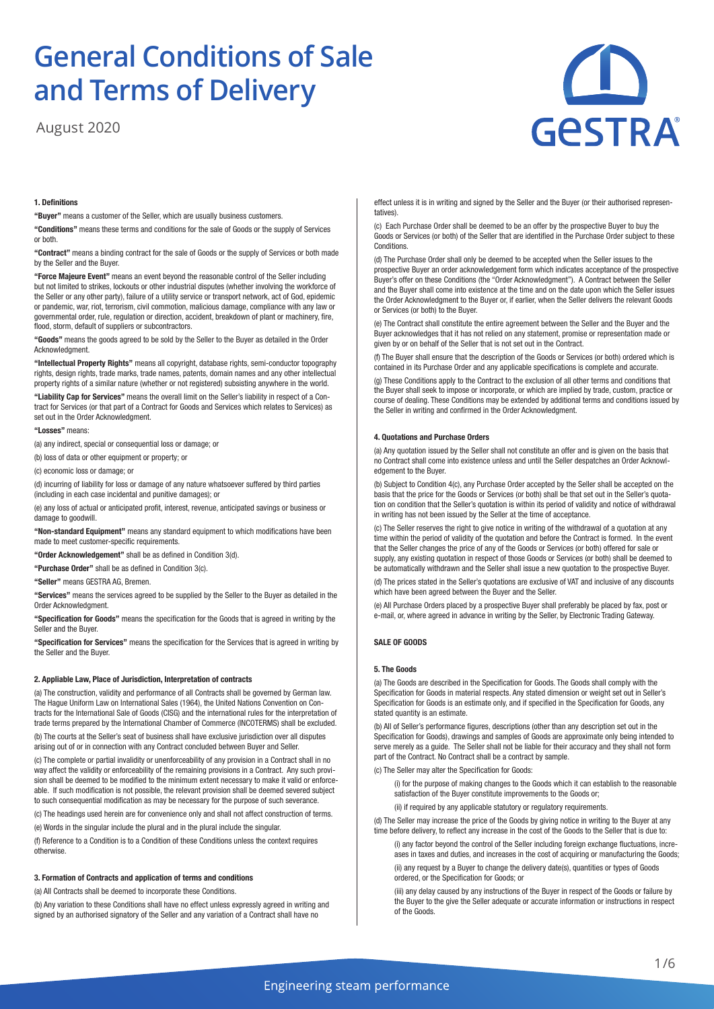August 2020



# **1. Definitions**

**"Buyer"** means a customer of the Seller, which are usually business customers.

**"Conditions"** means these terms and conditions for the sale of Goods or the supply of Services or both.

**"Contract"** means a binding contract for the sale of Goods or the supply of Services or both made by the Seller and the Buyer.

**"Force Majeure Event"** means an event beyond the reasonable control of the Seller including but not limited to strikes, lockouts or other industrial disputes (whether involving the workforce of the Seller or any other party), failure of a utility service or transport network, act of God, epidemic or pandemic, war, riot, terrorism, civil commotion, malicious damage, compliance with any law or governmental order, rule, regulation or direction, accident, breakdown of plant or machinery, fire, flood, storm, default of suppliers or subcontractors.

**"Goods"** means the goods agreed to be sold by the Seller to the Buyer as detailed in the Order Acknowledgment.

**"Intellectual Property Rights"** means all copyright, database rights, semi-conductor topography rights, design rights, trade marks, trade names, patents, domain names and any other intellectual property rights of a similar nature (whether or not registered) subsisting anywhere in the world.

**"Liability Cap for Services"** means the overall limit on the Seller's liability in respect of a Contract for Services (or that part of a Contract for Goods and Services which relates to Services) as set out in the Order Acknowledgment.

#### **"Losses"** means:

(a) any indirect, special or consequential loss or damage; or

(b) loss of data or other equipment or property; or

(c) economic loss or damage; or

(d) incurring of liability for loss or damage of any nature whatsoever suffered by third parties (including in each case incidental and punitive damages); or

(e) any loss of actual or anticipated profit, interest, revenue, anticipated savings or business or damage to goodwill.

**"Non-standard Equipment"** means any standard equipment to which modifications have been made to meet customer-specific requirements.

**"Order Acknowledgement"** shall be as defined in Condition 3(d).

**"Purchase Order"** shall be as defined in Condition 3(c).

**"Seller"** means GESTRA AG, Bremen.

**"Services"** means the services agreed to be supplied by the Seller to the Buyer as detailed in the Order Acknowledgment.

**"Specification for Goods"** means the specification for the Goods that is agreed in writing by the Seller and the Buyer.

**"Specification for Services"** means the specification for the Services that is agreed in writing by the Seller and the Buyer.

# **2. Appliable Law, Place of Jurisdiction, Interpretation of contracts**

(a) The construction, validity and performance of all Contracts shall be governed by German law. The Hague Uniform Law on International Sales (1964), the United Nations Convention on Contracts for the International Sale of Goods (CISG) and the international rules for the interpretation of trade terms prepared by the International Chamber of Commerce (INCOTERMS) shall be excluded.

(b) The courts at the Seller's seat of business shall have exclusive jurisdiction over all disputes arising out of or in connection with any Contract concluded between Buyer and Seller.

(c) The complete or partial invalidity or unenforceability of any provision in a Contract shall in no way affect the validity or enforceability of the remaining provisions in a Contract. Any such provision shall be deemed to be modified to the minimum extent necessary to make it valid or enforceable. If such modification is not possible, the relevant provision shall be deemed severed subject to such consequential modification as may be necessary for the purpose of such severance.

(c) The headings used herein are for convenience only and shall not affect construction of terms.

(e) Words in the singular include the plural and in the plural include the singular.

(f) Reference to a Condition is to a Condition of these Conditions unless the context requires otherwise.

## **3. Formation of Contracts and application of terms and conditions**

(a) All Contracts shall be deemed to incorporate these Conditions.

(b) Any variation to these Conditions shall have no effect unless expressly agreed in writing and signed by an authorised signatory of the Seller and any variation of a Contract shall have no

effect unless it is in writing and signed by the Seller and the Buyer (or their authorised representatives).

(c) Each Purchase Order shall be deemed to be an offer by the prospective Buyer to buy the Goods or Services (or both) of the Seller that are identified in the Purchase Order subject to these **Conditions** 

(d) The Purchase Order shall only be deemed to be accepted when the Seller issues to the prospective Buyer an order acknowledgement form which indicates acceptance of the prospective Buyer's offer on these Conditions (the "Order Acknowledgment"). A Contract between the Seller and the Buyer shall come into existence at the time and on the date upon which the Seller issues the Order Acknowledgment to the Buyer or, if earlier, when the Seller delivers the relevant Goods or Services (or both) to the Buyer.

(e) The Contract shall constitute the entire agreement between the Seller and the Buyer and the Buyer acknowledges that it has not relied on any statement, promise or representation made or given by or on behalf of the Seller that is not set out in the Contract.

(f) The Buyer shall ensure that the description of the Goods or Services (or both) ordered which is contained in its Purchase Order and any applicable specifications is complete and accurate.

(g) These Conditions apply to the Contract to the exclusion of all other terms and conditions that the Buyer shall seek to impose or incorporate, or which are implied by trade, custom, practice or course of dealing. These Conditions may be extended by additional terms and conditions issued by the Seller in writing and confirmed in the Order Acknowledgment.

## **4. Quotations and Purchase Orders**

(a) Any quotation issued by the Seller shall not constitute an offer and is given on the basis that no Contract shall come into existence unless and until the Seller despatches an Order Acknowledgement to the Buyer.

(b) Subject to Condition 4(c), any Purchase Order accepted by the Seller shall be accepted on the basis that the price for the Goods or Services (or both) shall be that set out in the Seller's quotation on condition that the Seller's quotation is within its period of validity and notice of withdrawal in writing has not been issued by the Seller at the time of acceptance.

(c) The Seller reserves the right to give notice in writing of the withdrawal of a quotation at any time within the period of validity of the quotation and before the Contract is formed. In the event that the Seller changes the price of any of the Goods or Services (or both) offered for sale or supply, any existing quotation in respect of those Goods or Services (or both) shall be deemed to be automatically withdrawn and the Seller shall issue a new quotation to the prospective Buyer.

(d) The prices stated in the Seller's quotations are exclusive of VAT and inclusive of any discounts which have been agreed between the Buyer and the Seller.

(e) All Purchase Orders placed by a prospective Buyer shall preferably be placed by fax, post or e-mail, or, where agreed in advance in writing by the Seller, by Electronic Trading Gateway.

# **SALE OF GOODS**

# **5. The Goods**

(a) The Goods are described in the Specification for Goods. The Goods shall comply with the Specification for Goods in material respects. Any stated dimension or weight set out in Seller's Specification for Goods is an estimate only, and if specified in the Specification for Goods, any stated quantity is an estimate.

(b) All of Seller's performance figures, descriptions (other than any description set out in the Specification for Goods), drawings and samples of Goods are approximate only being intended to serve merely as a quide. The Seller shall not be liable for their accuracy and they shall not form part of the Contract. No Contract shall be a contract by sample.

(c) The Seller may alter the Specification for Goods:

(i) for the purpose of making changes to the Goods which it can establish to the reasonable satisfaction of the Buyer constitute improvements to the Goods or;

(ii) if required by any applicable statutory or regulatory requirements.

(d) The Seller may increase the price of the Goods by giving notice in writing to the Buyer at any time before delivery, to reflect any increase in the cost of the Goods to the Seller that is due to:

(i) any factor beyond the control of the Seller including foreign exchange fluctuations, increases in taxes and duties, and increases in the cost of acquiring or manufacturing the Goods;

(ii) any request by a Buyer to change the delivery date(s), quantities or types of Goods ordered, or the Specification for Goods; or

(iii) any delay caused by any instructions of the Buyer in respect of the Goods or failure by the Buyer to the give the Seller adequate or accurate information or instructions in respect of the Goods.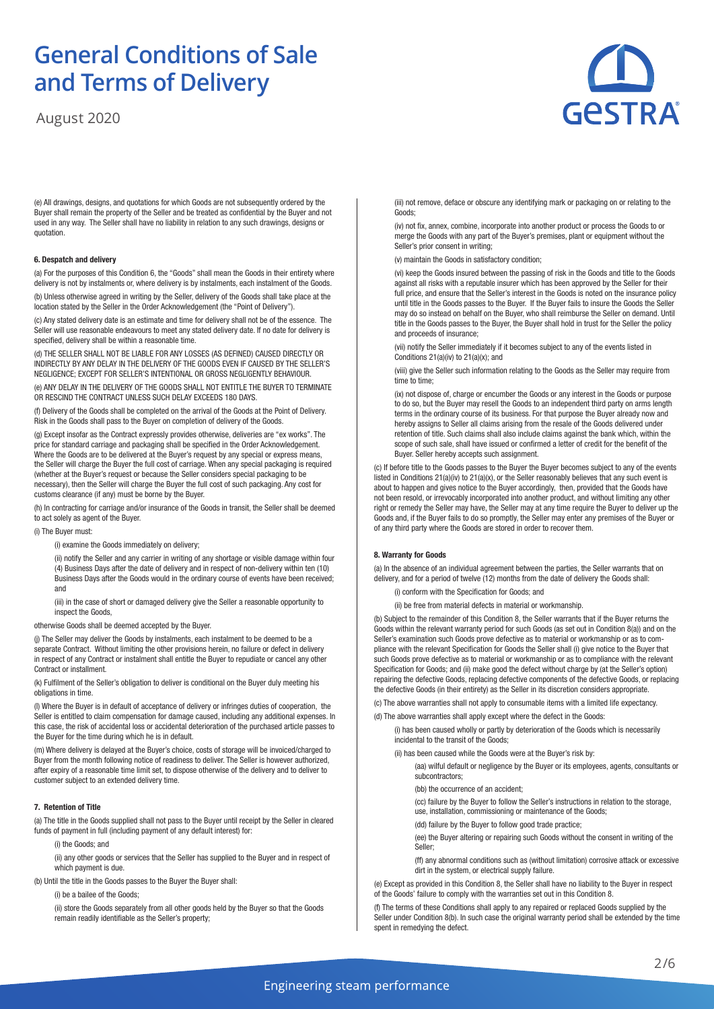August 2020

GeSTRA

(e) All drawings, designs, and quotations for which Goods are not subsequently ordered by the Buyer shall remain the property of the Seller and be treated as confidential by the Buyer and not used in any way. The Seller shall have no liability in relation to any such drawings, designs or quotation.

### **6. Despatch and delivery**

(a) For the purposes of this Condition 6, the "Goods" shall mean the Goods in their entirety where delivery is not by instalments or, where delivery is by instalments, each instalment of the Goods.

(b) Unless otherwise agreed in writing by the Seller, delivery of the Goods shall take place at the location stated by the Seller in the Order Acknowledgement (the "Point of Delivery").

(c) Any stated delivery date is an estimate and time for delivery shall not be of the essence. The Seller will use reasonable endeavours to meet any stated delivery date. If no date for delivery is specified, delivery shall be within a reasonable time.

(d) THE SELLER SHALL NOT BE LIABLE FOR ANY LOSSES (AS DEFINED) CAUSED DIRECTLY OR INDIRECTLY BY ANY DELAY IN THE DELIVERY OF THE GOODS EVEN IF CAUSED BY THE SELLER'S NEGLIGENCE; EXCEPT FOR SELLER'S INTENTIONAL OR GROSS NEGLIGENTLY BEHAVIOUR.

(e) ANY DELAY IN THE DELIVERY OF THE GOODS SHALL NOT ENTITLE THE BUYER TO TERMINATE OR RESCIND THE CONTRACT UNLESS SUCH DELAY EXCEEDS 180 DAYS.

(f) Delivery of the Goods shall be completed on the arrival of the Goods at the Point of Delivery. Risk in the Goods shall pass to the Buyer on completion of delivery of the Goods.

(g) Except insofar as the Contract expressly provides otherwise, deliveries are "ex works". The price for standard carriage and packaging shall be specified in the Order Acknowledgement. Where the Goods are to be delivered at the Buyer's request by any special or express means, the Seller will charge the Buyer the full cost of carriage. When any special packaging is required (whether at the Buyer's request or because the Seller considers special packaging to be necessary), then the Seller will charge the Buyer the full cost of such packaging. Any cost for customs clearance (if any) must be borne by the Buyer.

(h) In contracting for carriage and/or insurance of the Goods in transit, the Seller shall be deemed to act solely as agent of the Buyer.

(i) The Buyer must:

(i) examine the Goods immediately on delivery;

(ii) notify the Seller and any carrier in writing of any shortage or visible damage within four (4) Business Days after the date of delivery and in respect of non-delivery within ten (10) Business Days after the Goods would in the ordinary course of events have been received; and

(iii) in the case of short or damaged delivery give the Seller a reasonable opportunity to inspect the Goods,

otherwise Goods shall be deemed accepted by the Buyer.

(j) The Seller may deliver the Goods by instalments, each instalment to be deemed to be a separate Contract. Without limiting the other provisions herein, no failure or defect in delivery in respect of any Contract or instalment shall entitle the Buyer to repudiate or cancel any other Contract or installment.

(k) Fulfilment of the Seller's obligation to deliver is conditional on the Buyer duly meeting his obligations in time.

(l) Where the Buyer is in default of acceptance of delivery or infringes duties of cooperation, the Seller is entitled to claim compensation for damage caused, including any additional expenses. In this case, the risk of accidental loss or accidental deterioration of the purchased article passes to the Buyer for the time during which he is in default.

(m) Where delivery is delayed at the Buyer's choice, costs of storage will be invoiced/charged to Buyer from the month following notice of readiness to deliver. The Seller is however authorized, after expiry of a reasonable time limit set, to dispose otherwise of the delivery and to deliver to customer subject to an extended delivery time.

## **7. Retention of Title**

(a) The title in the Goods supplied shall not pass to the Buyer until receipt by the Seller in cleared funds of payment in full (including payment of any default interest) for:

(i) the Goods; and

(ii) any other goods or services that the Seller has supplied to the Buyer and in respect of which payment is due.

(b) Until the title in the Goods passes to the Buyer the Buyer shall:

(i) be a bailee of the Goods;

(ii) store the Goods separately from all other goods held by the Buyer so that the Goods remain readily identifiable as the Seller's property;

(iii) not remove, deface or obscure any identifying mark or packaging on or relating to the Goods;

(iv) not fix, annex, combine, incorporate into another product or process the Goods to or merge the Goods with any part of the Buyer's premises, plant or equipment without the Seller's prior consent in writing;

(v) maintain the Goods in satisfactory condition;

(vi) keep the Goods insured between the passing of risk in the Goods and title to the Goods against all risks with a reputable insurer which has been approved by the Seller for their full price, and ensure that the Seller's interest in the Goods is noted on the insurance policy until title in the Goods passes to the Buyer. If the Buyer fails to insure the Goods the Seller may do so instead on behalf on the Buyer, who shall reimburse the Seller on demand. Until title in the Goods passes to the Buyer, the Buyer shall hold in trust for the Seller the policy and proceeds of insurance;

(vii) notify the Seller immediately if it becomes subject to any of the events listed in Conditions 21(a)(iv) to 21(a)(x); and

(viii) give the Seller such information relating to the Goods as the Seller may require from time to time;

(ix) not dispose of, charge or encumber the Goods or any interest in the Goods or purpose to do so, but the Buyer may resell the Goods to an independent third party on arms length terms in the ordinary course of its business. For that purpose the Buyer already now and hereby assigns to Seller all claims arising from the resale of the Goods delivered under retention of title. Such claims shall also include claims against the bank which, within the scope of such sale, shall have issued or confirmed a letter of credit for the benefit of the Buyer. Seller hereby accepts such assignment.

(c) If before title to the Goods passes to the Buyer the Buyer becomes subject to any of the events listed in Conditions 21(a)(iv) to 21(a)(x), or the Seller reasonably believes that any such event is about to happen and gives notice to the Buyer accordingly, then, provided that the Goods have not been resold, or irrevocably incorporated into another product, and without limiting any other right or remedy the Seller may have, the Seller may at any time require the Buyer to deliver up the Goods and, if the Buyer fails to do so promptly, the Seller may enter any premises of the Buyer or of any third party where the Goods are stored in order to recover them.

# **8. Warranty for Goods**

(a) In the absence of an individual agreement between the parties, the Seller warrants that on delivery, and for a period of twelve (12) months from the date of delivery the Goods shall:

(i) conform with the Specification for Goods; and

(ii) be free from material defects in material or workmanship.

(b) Subject to the remainder of this Condition 8, the Seller warrants that if the Buyer returns the Goods within the relevant warranty period for such Goods (as set out in Condition 8(a)) and on the Seller's examination such Goods prove defective as to material or workmanship or as to compliance with the relevant Specification for Goods the Seller shall (i) give notice to the Buyer that such Goods prove defective as to material or workmanship or as to compliance with the relevant Specification for Goods; and (ii) make good the defect without charge by (at the Seller's option) repairing the defective Goods, replacing defective components of the defective Goods, or replacing the defective Goods (in their entirety) as the Seller in its discretion considers appropriate.

(c) The above warranties shall not apply to consumable items with a limited life expectancy. (d) The above warranties shall apply except where the defect in the Goods:

(i) has been caused wholly or partly by deterioration of the Goods which is necessarily incidental to the transit of the Goods;

(ii) has been caused while the Goods were at the Buyer's risk by:

(aa) wilful default or negligence by the Buyer or its employees, agents, consultants or subcontractors;

(bb) the occurrence of an accident;

(cc) failure by the Buyer to follow the Seller's instructions in relation to the storage, use, installation, commissioning or maintenance of the Goods;

(dd) failure by the Buyer to follow good trade practice;

(ee) the Buyer altering or repairing such Goods without the consent in writing of the Seller;

(ff) any abnormal conditions such as (without limitation) corrosive attack or excessive dirt in the system, or electrical supply failure.

(e) Except as provided in this Condition 8, the Seller shall have no liability to the Buyer in respect of the Goods' failure to comply with the warranties set out in this Condition 8.

(f) The terms of these Conditions shall apply to any repaired or replaced Goods supplied by the Seller under Condition 8(b). In such case the original warranty period shall be extended by the time spent in remedying the defect.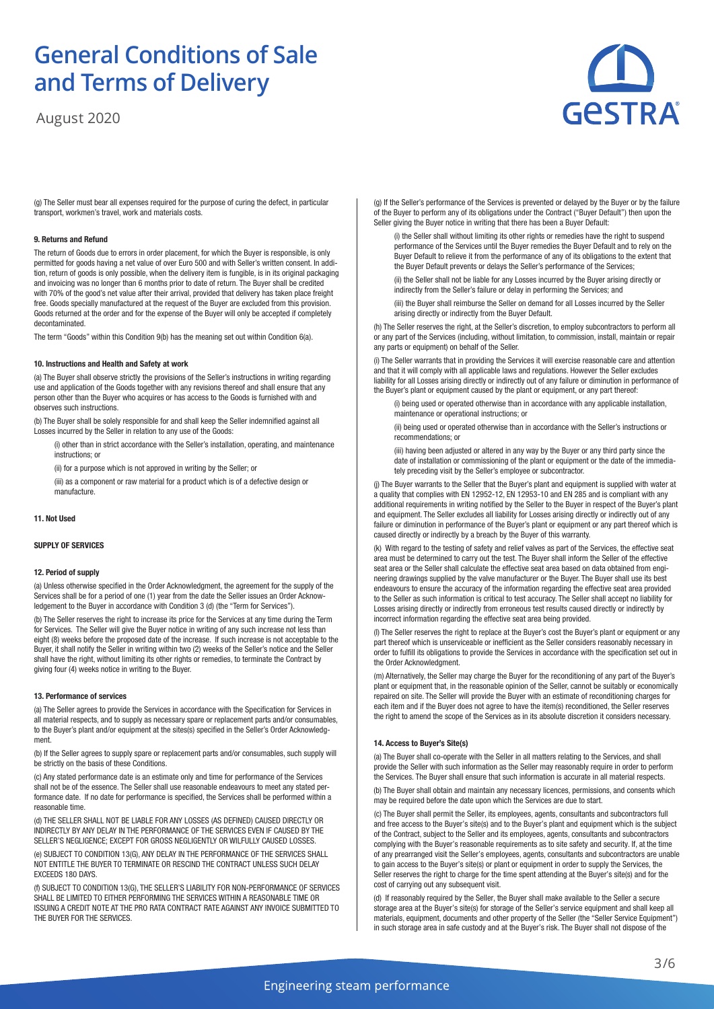August 2020



(g) The Seller must bear all expenses required for the purpose of curing the defect, in particular transport, workmen's travel, work and materials costs.

## **9. Returns and Refund**

The return of Goods due to errors in order placement, for which the Buyer is responsible, is only permitted for goods having a net value of over Euro 500 and with Seller's written consent. In addition, return of goods is only possible, when the delivery item is fungible, is in its original packaging and invoicing was no longer than 6 months prior to date of return. The Buyer shall be credited with 70% of the good's net value after their arrival, provided that delivery has taken place freight free. Goods specially manufactured at the request of the Buyer are excluded from this provision. Goods returned at the order and for the expense of the Buyer will only be accepted if completely decontaminated.

The term "Goods" within this Condition 9(b) has the meaning set out within Condition 6(a).

# **10. Instructions and Health and Safety at work**

(a) The Buyer shall observe strictly the provisions of the Seller's instructions in writing regarding use and application of the Goods together with any revisions thereof and shall ensure that any person other than the Buyer who acquires or has access to the Goods is furnished with and observes such instructions.

(b) The Buyer shall be solely responsible for and shall keep the Seller indemnified against all Losses incurred by the Seller in relation to any use of the Goods:

- (i) other than in strict accordance with the Seller's installation, operating, and maintenance instructions; or
- (ii) for a purpose which is not approved in writing by the Seller; or
- (iii) as a component or raw material for a product which is of a defective design or manufacture.

# **11. Not Used**

### **SUPPLY OF SERVICES**

## **12. Period of supply**

(a) Unless otherwise specified in the Order Acknowledgment, the agreement for the supply of the Services shall be for a period of one (1) year from the date the Seller issues an Order Acknowledgement to the Buyer in accordance with Condition 3 (d) (the "Term for Services").

(b) The Seller reserves the right to increase its price for the Services at any time during the Term for Services. The Seller will give the Buyer notice in writing of any such increase not less than eight (8) weeks before the proposed date of the increase. If such increase is not acceptable to the Buyer, it shall notify the Seller in writing within two (2) weeks of the Seller's notice and the Seller shall have the right, without limiting its other rights or remedies, to terminate the Contract by giving four (4) weeks notice in writing to the Buyer.

#### **13. Performance of services**

(a) The Seller agrees to provide the Services in accordance with the Specification for Services in all material respects, and to supply as necessary spare or replacement parts and/or consumables, to the Buyer's plant and/or equipment at the sites(s) specified in the Seller's Order Acknowledgment.

(b) If the Seller agrees to supply spare or replacement parts and/or consumables, such supply will be strictly on the basis of these Conditions.

(c) Any stated performance date is an estimate only and time for performance of the Services shall not be of the essence. The Seller shall use reasonable endeavours to meet any stated performance date. If no date for performance is specified, the Services shall be performed within a reasonable time.

(d) THE SELLER SHALL NOT BE LIABLE FOR ANY LOSSES (AS DEFINED) CAUSED DIRECTLY OR INDIRECTLY BY ANY DELAY IN THE PERFORMANCE OF THE SERVICES EVEN IF CAUSED BY THE SELLER'S NEGLIGENCE; EXCEPT FOR GROSS NEGLIGENTLY OR WILFULLY CAUSED LOSSES.

(e) SUBJECT TO CONDITION 13(G), ANY DELAY IN THE PERFORMANCE OF THE SERVICES SHALL NOT ENTITLE THE BUYER TO TERMINATE OR RESCIND THE CONTRACT UNLESS SUCH DELAY EXCEEDS 180 DAYS.

(f) SUBJECT TO CONDITION 13(G), THE SELLER'S LIABILITY FOR NON-PERFORMANCE OF SERVICES SHALL BE LIMITED TO EITHER PERFORMING THE SERVICES WITHIN A REASONABLE TIME OR ISSUING A CREDIT NOTE AT THE PRO RATA CONTRACT RATE AGAINST ANY INVOICE SUBMITTED TO THE BUYER FOR THE SERVICES.

(g) If the Seller's performance of the Services is prevented or delayed by the Buyer or by the failure of the Buyer to perform any of its obligations under the Contract ("Buyer Default") then upon the Seller giving the Buyer notice in writing that there has been a Buyer Default:

(i) the Seller shall without limiting its other rights or remedies have the right to suspend performance of the Services until the Buyer remedies the Buyer Default and to rely on the Buyer Default to relieve it from the performance of any of its obligations to the extent that the Buyer Default prevents or delays the Seller's performance of the Services;

(ii) the Seller shall not be liable for any Losses incurred by the Buyer arising directly or indirectly from the Seller's failure or delay in performing the Services; and

(iii) the Buyer shall reimburse the Seller on demand for all Losses incurred by the Seller arising directly or indirectly from the Buyer Default.

(h) The Seller reserves the right, at the Seller's discretion, to employ subcontractors to perform all or any part of the Services (including, without limitation, to commission, install, maintain or repair any parts or equipment) on behalf of the Seller.

(i) The Seller warrants that in providing the Services it will exercise reasonable care and attention and that it will comply with all applicable laws and regulations. However the Seller excludes liability for all Losses arising directly or indirectly out of any failure or diminution in performance of the Buyer's plant or equipment caused by the plant or equipment, or any part thereof:

(i) being used or operated otherwise than in accordance with any applicable installation, maintenance or operational instructions; or

(ii) being used or operated otherwise than in accordance with the Seller's instructions or recommendations; or

(iii) having been adjusted or altered in any way by the Buyer or any third party since the date of installation or commissioning of the plant or equipment or the date of the immediately preceding visit by the Seller's employee or subcontractor.

(j) The Buyer warrants to the Seller that the Buyer's plant and equipment is supplied with water at a quality that complies with EN 12952-12, EN 12953-10 and EN 285 and is compliant with any additional requirements in writing notified by the Seller to the Buyer in respect of the Buyer's plant and equipment. The Seller excludes all liability for Losses arising directly or indirectly out of any failure or diminution in performance of the Buyer's plant or equipment or any part thereof which is caused directly or indirectly by a breach by the Buyer of this warranty.

(k) With regard to the testing of safety and relief valves as part of the Services, the effective seat area must be determined to carry out the test. The Buyer shall inform the Seller of the effective seat area or the Seller shall calculate the effective seat area based on data obtained from engineering drawings supplied by the valve manufacturer or the Buyer. The Buyer shall use its best endeavours to ensure the accuracy of the information regarding the effective seat area provided to the Seller as such information is critical to test accuracy. The Seller shall accept no liability for Losses arising directly or indirectly from erroneous test results caused directly or indirectly by incorrect information regarding the effective seat area being provided.

(l) The Seller reserves the right to replace at the Buyer's cost the Buyer's plant or equipment or any part thereof which is unserviceable or inefficient as the Seller considers reasonably necessary in order to fulfill its obligations to provide the Services in accordance with the specification set out in the Order Acknowledgment.

(m) Alternatively, the Seller may charge the Buyer for the reconditioning of any part of the Buyer's plant or equipment that, in the reasonable opinion of the Seller, cannot be suitably or economically repaired on site. The Seller will provide the Buyer with an estimate of reconditioning charges for each item and if the Buyer does not agree to have the item(s) reconditioned, the Seller reserves the right to amend the scope of the Services as in its absolute discretion it considers necessary.

# **14. Access to Buyer's Site(s)**

(a) The Buyer shall co-operate with the Seller in all matters relating to the Services, and shall provide the Seller with such information as the Seller may reasonably require in order to perform the Services. The Buyer shall ensure that such information is accurate in all material respects.

(b) The Buyer shall obtain and maintain any necessary licences, permissions, and consents which may be required before the date upon which the Services are due to start.

(c) The Buyer shall permit the Seller, its employees, agents, consultants and subcontractors full and free access to the Buyer's site(s) and to the Buyer's plant and equipment which is the subject of the Contract, subject to the Seller and its employees, agents, consultants and subcontractors complying with the Buyer's reasonable requirements as to site safety and security. If, at the time of any prearranged visit the Seller's employees, agents, consultants and subcontractors are unable to gain access to the Buyer's site(s) or plant or equipment in order to supply the Services, the Seller reserves the right to charge for the time spent attending at the Buyer's site(s) and for the cost of carrying out any subsequent visit.

(d) If reasonably required by the Seller, the Buyer shall make available to the Seller a secure storage area at the Buyer's site(s) for storage of the Seller's service equipment and shall keep all materials, equipment, documents and other property of the Seller (the "Seller Service Equipment") in such storage area in safe custody and at the Buyer's risk. The Buyer shall not dispose of the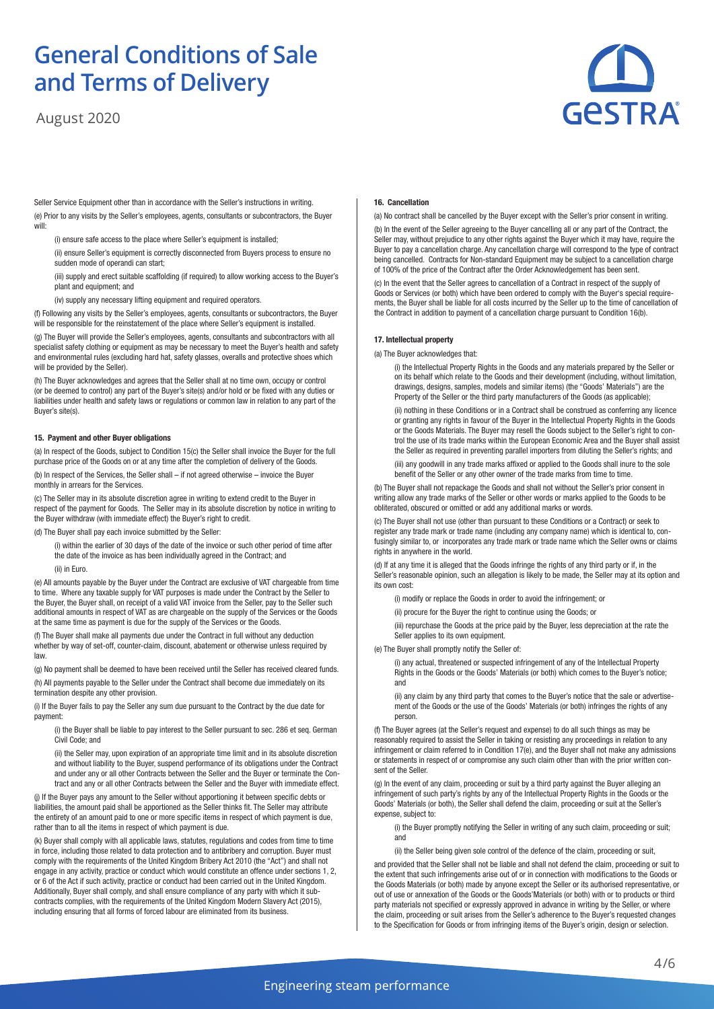August 2020



Seller Service Equipment other than in accordance with the Seller's instructions in writing. (e) Prior to any visits by the Seller's employees, agents, consultants or subcontractors, the Buyer will:

- (i) ensure safe access to the place where Seller's equipment is installed;
- (ii) ensure Seller's equipment is correctly disconnected from Buyers process to ensure no sudden mode of operandi can start;
- (iii) supply and erect suitable scaffolding (if required) to allow working access to the Buyer's plant and equipment; and
- (iv) supply any necessary lifting equipment and required operators.

(f) Following any visits by the Seller's employees, agents, consultants or subcontractors, the Buyer will be responsible for the reinstatement of the place where Seller's equipment is installed

(g) The Buyer will provide the Seller's employees, agents, consultants and subcontractors with all specialist safety clothing or equipment as may be necessary to meet the Buyer's health and safety and environmental rules (excluding hard hat, safety glasses, overalls and protective shoes which will be provided by the Seller).

(h) The Buyer acknowledges and agrees that the Seller shall at no time own, occupy or control (or be deemed to control) any part of the Buyer's site(s) and/or hold or be fixed with any duties or liabilities under health and safety laws or regulations or common law in relation to any part of the Buyer's site(s).

## **15. Payment and other Buyer obligations**

(a) In respect of the Goods, subject to Condition 15(c) the Seller shall invoice the Buyer for the full purchase price of the Goods on or at any time after the completion of delivery of the Goods.

(b) In respect of the Services, the Seller shall – if not agreed otherwise – invoice the Buyer monthly in arrears for the Services.

(c) The Seller may in its absolute discretion agree in writing to extend credit to the Buyer in respect of the payment for Goods. The Seller may in its absolute discretion by notice in writing to the Buyer withdraw (with immediate effect) the Buyer's right to credit.

(d) The Buyer shall pay each invoice submitted by the Seller:

- (i) within the earlier of 30 days of the date of the invoice or such other period of time after the date of the invoice as has been individually agreed in the Contract; and
- (ii) in Euro.

(e) All amounts payable by the Buyer under the Contract are exclusive of VAT chargeable from time to time. Where any taxable supply for VAT purposes is made under the Contract by the Seller to the Buyer, the Buyer shall, on receipt of a valid VAT invoice from the Seller, pay to the Seller such additional amounts in respect of VAT as are chargeable on the supply of the Services or the Goods at the same time as payment is due for the supply of the Services or the Goods.

(f) The Buyer shall make all payments due under the Contract in full without any deduction whether by way of set-off, counter-claim, discount, abatement or otherwise unless required by law.

(g) No payment shall be deemed to have been received until the Seller has received cleared funds. (h) All payments payable to the Seller under the Contract shall become due immediately on its

termination despite any other provision. (i) If the Buyer fails to pay the Seller any sum due pursuant to the Contract by the due date for payment:

(i) the Buyer shall be liable to pay interest to the Seller pursuant to sec. 286 et seq. German Civil Code; and

(ii) the Seller may, upon expiration of an appropriate time limit and in its absolute discretion and without liability to the Buyer, suspend performance of its obligations under the Contract and under any or all other Contracts between the Seller and the Buyer or terminate the Contract and any or all other Contracts between the Seller and the Buyer with immediate effect.

(j) If the Buyer pays any amount to the Seller without apportioning it between specific debts or liabilities, the amount paid shall be apportioned as the Seller thinks fit. The Seller may attribute the entirety of an amount paid to one or more specific items in respect of which payment is due, rather than to all the items in respect of which payment is due.

(k) Buyer shall comply with all applicable laws, statutes, regulations and codes from time to time in force, including those related to data protection and to antibribery and corruption. Buyer must comply with the requirements of the United Kingdom Bribery Act 2010 (the "Act") and shall not engage in any activity, practice or conduct which would constitute an offence under sections 1, 2, or 6 of the Act if such activity, practice or conduct had been carried out in the United Kingdom. Additionally, Buyer shall comply, and shall ensure compliance of any party with which it subcontracts complies, with the requirements of the United Kingdom Modern Slavery Act (2015), including ensuring that all forms of forced labour are eliminated from its business.

# **16. Cancellation**

(a) No contract shall be cancelled by the Buyer except with the Seller's prior consent in writing.

(b) In the event of the Seller agreeing to the Buyer cancelling all or any part of the Contract, the Seller may, without prejudice to any other rights against the Buyer which it may have, require the Buyer to pay a cancellation charge. Any cancellation charge will correspond to the type of contract being cancelled. Contracts for Non-standard Equipment may be subject to a cancellation charge of 100% of the price of the Contract after the Order Acknowledgement has been sent.

(c) In the event that the Seller agrees to cancellation of a Contract in respect of the supply of Goods or Services (or both) which have been ordered to comply with the Buyer's special requirements, the Buyer shall be liable for all costs incurred by the Seller up to the time of cancellation of the Contract in addition to payment of a cancellation charge pursuant to Condition 16(b).

#### **17. Intellectual property**

(a) The Buyer acknowledges that:

(i) the Intellectual Property Rights in the Goods and any materials prepared by the Seller or on its behalf which relate to the Goods and their development (including, without limitation, drawings, designs, samples, models and similar items) (the "Goods' Materials") are the Property of the Seller or the third party manufacturers of the Goods (as applicable);

(ii) nothing in these Conditions or in a Contract shall be construed as conferring any licence or granting any rights in favour of the Buyer in the Intellectual Property Rights in the Goods or the Goods Materials. The Buyer may resell the Goods subject to the Seller's right to control the use of its trade marks within the European Economic Area and the Buyer shall assist the Seller as required in preventing parallel importers from diluting the Seller's rights; and

(iii) any goodwill in any trade marks affixed or applied to the Goods shall inure to the sole benefit of the Seller or any other owner of the trade marks from time to time.

(b) The Buyer shall not repackage the Goods and shall not without the Seller's prior consent in writing allow any trade marks of the Seller or other words or marks applied to the Goods to be obliterated, obscured or omitted or add any additional marks or words.

(c) The Buyer shall not use (other than pursuant to these Conditions or a Contract) or seek to register any trade mark or trade name (including any company name) which is identical to, confusingly similar to, or incorporates any trade mark or trade name which the Seller owns or claims rights in anywhere in the world.

(d) If at any time it is alleged that the Goods infringe the rights of any third party or if, in the Seller's reasonable opinion, such an allegation is likely to be made, the Seller may at its option and its own cost:

- (i) modify or replace the Goods in order to avoid the infringement; or
- (ii) procure for the Buyer the right to continue using the Goods; or

(iii) repurchase the Goods at the price paid by the Buyer, less depreciation at the rate the Seller applies to its own equipment.

(e) The Buyer shall promptly notify the Seller of:

(i) any actual, threatened or suspected infringement of any of the Intellectual Property Rights in the Goods or the Goods' Materials (or both) which comes to the Buyer's notice; and

(ii) any claim by any third party that comes to the Buyer's notice that the sale or advertisement of the Goods or the use of the Goods' Materials (or both) infringes the rights of any person.

(f) The Buyer agrees (at the Seller's request and expense) to do all such things as may be reasonably required to assist the Seller in taking or resisting any proceedings in relation to any infringement or claim referred to in Condition 17(e), and the Buyer shall not make any admissions or statements in respect of or compromise any such claim other than with the prior written consent of the Seller.

(g) In the event of any claim, proceeding or suit by a third party against the Buyer alleging an infringement of such party's rights by any of the Intellectual Property Rights in the Goods or the Goods' Materials (or both), the Seller shall defend the claim, proceeding or suit at the Seller's expense, subject to:

(i) the Buyer promptly notifying the Seller in writing of any such claim, proceeding or suit; and

(ii) the Seller being given sole control of the defence of the claim, proceeding or suit,

and provided that the Seller shall not be liable and shall not defend the claim, proceeding or suit to the extent that such infringements arise out of or in connection with modifications to the Goods or the Goods Materials (or both) made by anyone except the Seller or its authorised representative, or out of use or annexation of the Goods or the Goods'Materials (or both) with or to products or third party materials not specified or expressly approved in advance in writing by the Seller, or where the claim, proceeding or suit arises from the Seller's adherence to the Buyer's requested changes to the Specification for Goods or from infringing items of the Buyer's origin, design or selection.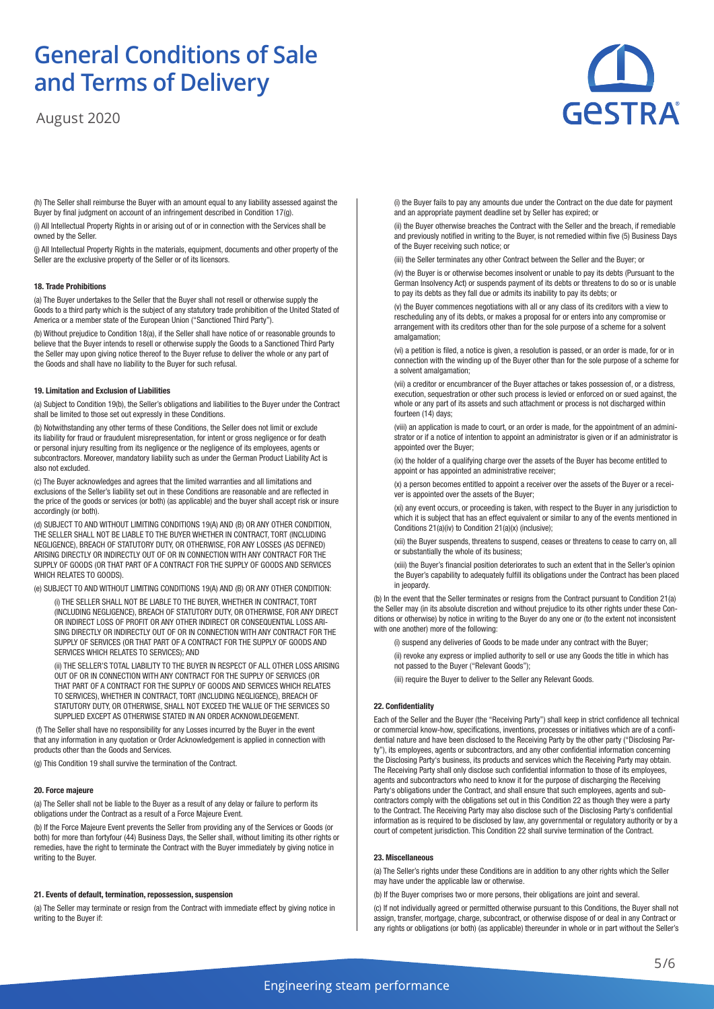August 2020



(h) The Seller shall reimburse the Buyer with an amount equal to any liability assessed against the Buyer by final judgment on account of an infringement described in Condition 17(g).

(i) All Intellectual Property Rights in or arising out of or in connection with the Services shall be owned by the Seller.

(j) All Intellectual Property Rights in the materials, equipment, documents and other property of the Seller are the exclusive property of the Seller or of its licensors.

# **18. Trade Prohibitions**

(a) The Buyer undertakes to the Seller that the Buyer shall not resell or otherwise supply the Goods to a third party which is the subject of any statutory trade prohibition of the United Stated of America or a member state of the European Union ("Sanctioned Third Party").

(b) Without prejudice to Condition 18(a), if the Seller shall have notice of or reasonable grounds to believe that the Buyer intends to resell or otherwise supply the Goods to a Sanctioned Third Party the Seller may upon giving notice thereof to the Buyer refuse to deliver the whole or any part of the Goods and shall have no liability to the Buyer for such refusal.

# **19. Limitation and Exclusion of Liabilities**

(a) Subject to Condition 19(b), the Seller's obligations and liabilities to the Buyer under the Contract shall be limited to those set out expressly in these Conditions.

(b) Notwithstanding any other terms of these Conditions, the Seller does not limit or exclude its liability for fraud or fraudulent misrepresentation, for intent or gross negligence or for death or personal injury resulting from its negligence or the negligence of its employees, agents or subcontractors. Moreover, mandatory liability such as under the German Product Liability Act is also not excluded.

(c) The Buyer acknowledges and agrees that the limited warranties and all limitations and exclusions of the Seller's liability set out in these Conditions are reasonable and are reflected in the price of the goods or services (or both) (as applicable) and the buyer shall accept risk or insure accordingly (or both).

(d) SUBJECT TO AND WITHOUT LIMITING CONDITIONS 19(A) AND (B) OR ANY OTHER CONDITION, THE SELLER SHALL NOT BE LIABLE TO THE BUYER WHETHER IN CONTRACT, TORT (INCLUDING NEGLIGENCE), BREACH OF STATUTORY DUTY, OR OTHERWISE, FOR ANY LOSSES (AS DEFINED) ARISING DIRECTLY OR INDIRECTLY OUT OF OR IN CONNECTION WITH ANY CONTRACT FOR THE SUPPLY OF GOODS (OR THAT PART OF A CONTRACT FOR THE SUPPLY OF GOODS AND SERVICES WHICH RELATES TO GOODS).

(e) SUBJECT TO AND WITHOUT LIMITING CONDITIONS 19(A) AND (B) OR ANY OTHER CONDITION:

(i) THE SELLER SHALL NOT BE LIABLE TO THE BUYER, WHETHER IN CONTRACT, TORT (INCLUDING NEGLIGENCE), BREACH OF STATUTORY DUTY, OR OTHERWISE, FOR ANY DIRECT OR INDIRECT LOSS OF PROFIT OR ANY OTHER INDIRECT OR CONSEQUENTIAL LOSS ARI-SING DIRECTLY OR INDIRECTLY OUT OF OR IN CONNECTION WITH ANY CONTRACT FOR THE SUPPLY OF SERVICES (OR THAT PART OF A CONTRACT FOR THE SUPPLY OF GOODS AND SERVICES WHICH RELATES TO SERVICES); AND

(ii) THE SELLER'S TOTAL LIABILITY TO THE BUYER IN RESPECT OF ALL OTHER LOSS ARISING OUT OF OR IN CONNECTION WITH ANY CONTRACT FOR THE SUPPLY OF SERVICES (OR THAT PART OF A CONTRACT FOR THE SUPPLY OF GOODS AND SERVICES WHICH RELATES TO SERVICES), WHETHER IN CONTRACT, TORT (INCLUDING NEGLIGENCE), BREACH OF STATUTORY DUTY, OR OTHERWISE, SHALL NOT EXCEED THE VALUE OF THE SERVICES SO SUPPLIED EXCEPT AS OTHERWISE STATED IN AN ORDER ACKNOWLDEGEMENT.

 (f) The Seller shall have no responsibility for any Losses incurred by the Buyer in the event that any information in any quotation or Order Acknowledgement is applied in connection with products other than the Goods and Services.

(g) This Condition 19 shall survive the termination of the Contract.

## **20. Force majeure**

(a) The Seller shall not be liable to the Buyer as a result of any delay or failure to perform its obligations under the Contract as a result of a Force Majeure Event.

(b) If the Force Majeure Event prevents the Seller from providing any of the Services or Goods (or both) for more than fortyfour (44) Business Days, the Seller shall, without limiting its other rights or remedies, have the right to terminate the Contract with the Buyer immediately by giving notice in writing to the Buyer.

#### **21. Events of default, termination, repossession, suspension**

(a) The Seller may terminate or resign from the Contract with immediate effect by giving notice in writing to the Buyer if:

(i) the Buyer fails to pay any amounts due under the Contract on the due date for payment and an appropriate payment deadline set by Seller has expired; or

(ii) the Buyer otherwise breaches the Contract with the Seller and the breach, if remediable and previously notified in writing to the Buyer, is not remedied within five (5) Business Days of the Buyer receiving such notice; or

(iii) the Seller terminates any other Contract between the Seller and the Buyer; or

(iv) the Buyer is or otherwise becomes insolvent or unable to pay its debts (Pursuant to the German Insolvency Act) or suspends payment of its debts or threatens to do so or is unable to pay its debts as they fall due or admits its inability to pay its debts; or

(v) the Buyer commences negotiations with all or any class of its creditors with a view to rescheduling any of its debts, or makes a proposal for or enters into any compromise or arrangement with its creditors other than for the sole purpose of a scheme for a solvent amalgamation;

(vi) a petition is filed, a notice is given, a resolution is passed, or an order is made, for or in connection with the winding up of the Buyer other than for the sole purpose of a scheme for a solvent amalgamation;

(vii) a creditor or encumbrancer of the Buyer attaches or takes possession of, or a distress, execution, sequestration or other such process is levied or enforced on or sued against, the whole or any part of its assets and such attachment or process is not discharged within fourteen (14) days;

(viii) an application is made to court, or an order is made, for the appointment of an administrator or if a notice of intention to appoint an administrator is given or if an administrator is appointed over the Buyer;

(ix) the holder of a qualifying charge over the assets of the Buyer has become entitled to appoint or has appointed an administrative receiver;

(x) a person becomes entitled to appoint a receiver over the assets of the Buyer or a receiver is appointed over the assets of the Buyer;

(xi) any event occurs, or proceeding is taken, with respect to the Buyer in any jurisdiction to which it is subject that has an effect equivalent or similar to any of the events mentioned in Conditions 21(a)(iv) to Condition 21(a)(x) (inclusive);

(xii) the Buyer suspends, threatens to suspend, ceases or threatens to cease to carry on, all or substantially the whole of its business;

(xiii) the Buyer's financial position deteriorates to such an extent that in the Seller's opinion the Buyer's capability to adequately fulfill its obligations under the Contract has been placed in jeopardy.

(b) In the event that the Seller terminates or resigns from the Contract pursuant to Condition 21(a) the Seller may (in its absolute discretion and without prejudice to its other rights under these Conditions or otherwise) by notice in writing to the Buyer do any one or (to the extent not inconsistent with one another) more of the following:

(i) suspend any deliveries of Goods to be made under any contract with the Buyer;

(ii) revoke any express or implied authority to sell or use any Goods the title in which has not passed to the Buyer ("Relevant Goods");

(iii) require the Buyer to deliver to the Seller any Relevant Goods.

# **22. Confidentiality**

Each of the Seller and the Buyer (the "Receiving Party") shall keep in strict confidence all technical or commercial know-how, specifications, inventions, processes or initiatives which are of a confidential nature and have been disclosed to the Receiving Party by the other party ("Disclosing Party"), its employees, agents or subcontractors, and any other confidential information concerning the Disclosing Party's business, its products and services which the Receiving Party may obtain. The Receiving Party shall only disclose such confidential information to those of its employees, agents and subcontractors who need to know it for the purpose of discharging the Receiving Party's obligations under the Contract, and shall ensure that such employees, agents and subcontractors comply with the obligations set out in this Condition 22 as though they were a party to the Contract. The Receiving Party may also disclose such of the Disclosing Party's confidential information as is required to be disclosed by law, any governmental or regulatory authority or by a court of competent jurisdiction. This Condition 22 shall survive termination of the Contract.

# **23. Miscellaneous**

(a) The Seller's rights under these Conditions are in addition to any other rights which the Seller may have under the applicable law or otherwise.

(b) If the Buyer comprises two or more persons, their obligations are joint and several.

(c) If not individually agreed or permitted otherwise pursuant to this Conditions, the Buyer shall not assign, transfer, mortgage, charge, subcontract, or otherwise dispose of or deal in any Contract or any rights or obligations (or both) (as applicable) thereunder in whole or in part without the Seller's